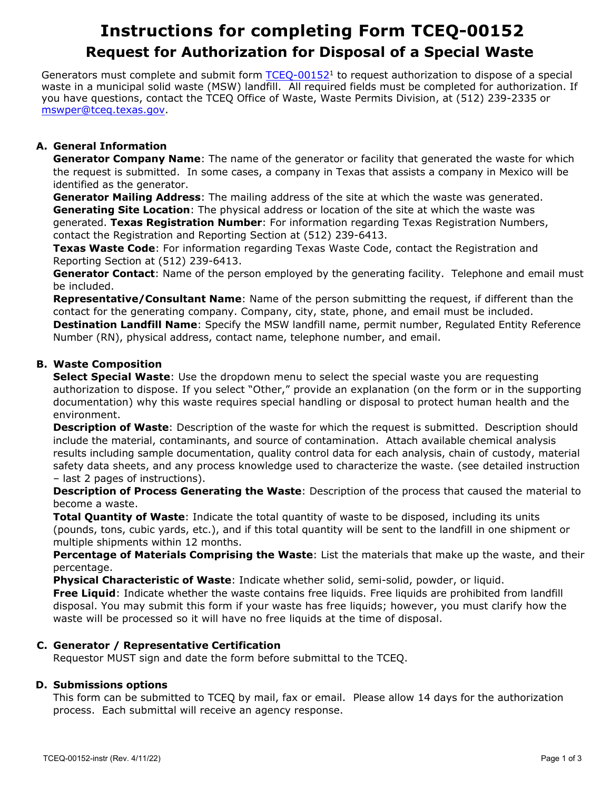# **Instructions for completing Form TCEQ-00152 Request for Authorization for Disposal of a Special Waste**

Generators must complete and submit form [TCEQ-00152](https://www.tceq.texas.gov/downloads/permitting/waste-permits/msw/forms/00152.pdf)<sup>1</sup> to request authorization to dispose of <sup>a</sup> special waste in a municipal solid waste (MSW) landfill. All required fields must be completed for authorization. If you have questions, contact the TCEQ Office of Waste, Waste Permits Division, at (512) 239-2335 or mswper@tceq.texas.gov.

**A. General Information Generator Company Name**: The name of the generator or facility that generated the waste for which the request is submitted. In some cases, a company in Texas that assists a company in Mexico will be identified as the generator.

**Generator Mailing Address**: The mailing address of the site at which the waste was generated. **Generating Site Location**: The physical address or location of the site at which the waste was generated. **Texas Registration Number**: For information regarding Texas Registration Numbers, contact the Registration and Reporting Section at (512) 239-6413.

**Texas Waste Code**: For information regarding Texas Waste Code, contact the Registration and Reporting Section at (512) 239-6413.

**Generator Contact**: Name of the person employed by the generating facility. Telephone and email must be included.

 **Representative/Consultant Name**: Name of the person submitting the request, if different than the contact for the generating company. Company, city, state, phone, and email must be included. **Destination Landfill Name**: Specify the MSW landfill name, permit number, Regulated Entity Reference Number (RN), physical address, contact name, telephone number, and email.

# **B. Waste Composition**

**Select Special Waste**: Use the dropdown menu to select the special waste you are requesting authorization to dispose. If you select "Other," provide an explanation (on the form or in the supporting documentation) why this waste requires special handling or disposal to protect human health and the environment.

**Description of Waste**: Description of the waste for which the request is submitted. Description should include the material, contaminants, and source of contamination. Attach available chemical analysis results including sample documentation, quality control data for each analysis, chain of custody, material safety data sheets, and any process knowledge used to characterize the waste. (see detailed instruction<br>- last 2 pages of instructions).

**Description of Process Generating the Waste**: Description of the process that caused the material to become <sup>a</sup> waste.

 **Total Quantity of Waste**: Indicate the total quantity of waste to be disposed, including its units (pounds, tons, cubic yards, etc.), and if this total quantity will be sent to the landfill in one shipment or multiple shipments within 12 months.

**Percentage of Materials Comprising the Waste**: List the materials that make up the waste, and their percentage.

**Physical Characteristic of Waste**: Indicate whether solid, semi-solid, powder, or liquid.

**Free Liquid**: Indicate whether the waste contains free liquids. Free liquids are prohibited from landfill disposal. You may submit this form if your waste has free liquids; however, you must clarify how the waste will be processed so it will have no free liquids at the time of disposal.

# **C. Generator / Representative Certification**

Requestor MUST sign and date the form before submittal to the TCEQ.

# **D. Submissions options**

This form can be submitted to TCEQ by mail, fax or email. Please allow 14 days for the authorization process. Each submittal will receive an agency response.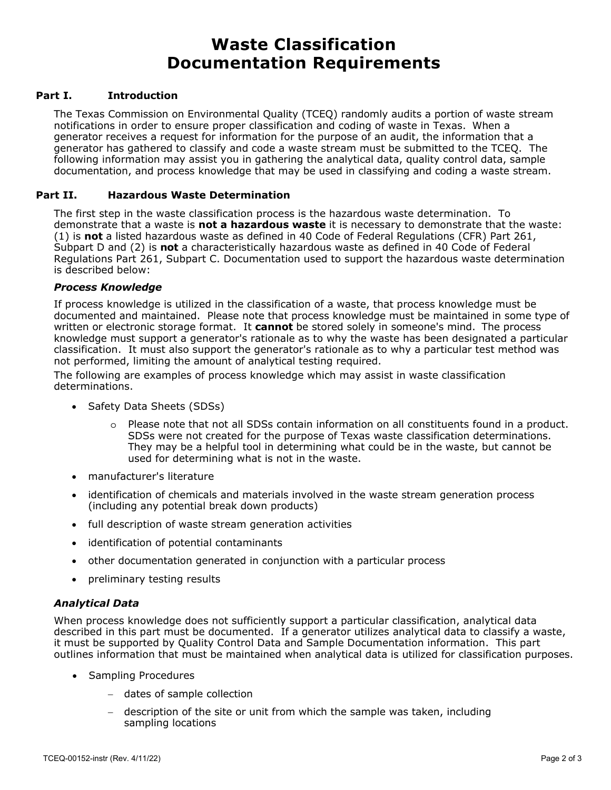# **Waste Classification Documentation Requirements**

## **Part I. Introduction**

 notifications in order to ensure proper classification and coding of waste in Texas. When a documentation, and process knowledge that may be used in classifying and coding a waste stream. The Texas Commission on Environmental Quality (TCEQ) randomly audits a portion of waste stream generator receives a request for information for the purpose of an audit, the information that a generator has gathered to classify and code a waste stream must be submitted to the TCEQ. The following information may assist you in gathering the analytical data, quality control data, sample

#### **Part II. Hazardous Waste Determination**

 (1) is **not** a listed hazardous waste as defined in 40 Code of Federal Regulations (CFR) Part 261, Subpart D and (2) is **not** a characteristically hazardous waste as defined in 40 Code of Federal<br>Regulations Part 261, Subpart C. Documentation used to support the hazardous waste determination The first step in the waste classification process is the hazardous waste determination. To demonstrate that a waste is **not a hazardous waste** it is necessary to demonstrate that the waste: Subpart D and (2) is **not** a characteristically hazardous waste as defined in 40 Code of Federal is described below:

#### *Process Knowledge*

 written or electronic storage format. It **cannot** be stored solely in someone's mind. The process not performed, limiting the amount of analytical testing required. If process knowledge is utilized in the classification of a waste, that process knowledge must be documented and maintained. Please note that process knowledge must be maintained in some type of knowledge must support a generator's rationale as to why the waste has been designated a particular classification. It must also support the generator's rationale as to why a particular test method was

The following are examples of process knowledge which may assist in waste classification determinations.

- Safety Data Sheets (SDSs)
	- o Please note that not all SDSs contain information on all constituents found in a product. SDSs were not created for the purpose of Texas waste classification determinations. They may be a helpful tool in determining what could be in the waste, but cannot be used for determining what is not in the waste.
- manufacturer's literature
- (including any potential break down products) • identification of chemicals and materials involved in the waste stream generation process
- full description of waste stream generation activities
- identification of potential contaminants
- other documentation generated in conjunction with a particular process
- preliminary testing results

#### *Analytical Data*

When process knowledge does not sufficiently support a particular classification, analytical data described in this part must be documented. If a generator utilizes analytical data to classify a waste, it must be supported by Quality Control Data and Sample Documentation information. This part outlines information that must be maintained when analytical data is utilized for classification purposes.

- Sampling Procedures
	- − dates of sample collection
	- − description of the site or unit from which the sample was taken, including sampling locations